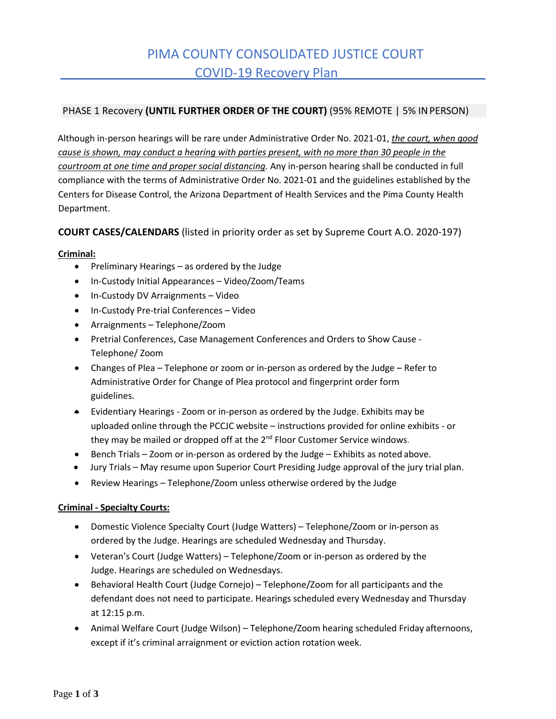## PHASE 1 Recovery **(UNTIL FURTHER ORDER OF THE COURT)** (95% REMOTE | 5% INPERSON)

Although in-person hearings will be rare under Administrative Order No. 2021-01, *the court, when good cause is shown, may conduct a hearing with parties present, with no more than 30 people in the courtroom at one time and proper social distancing.* Any in-person hearing shall be conducted in full compliance with the terms of Administrative Order No. 2021-01 and the guidelines established by the Centers for Disease Control, the Arizona Department of Health Services and the Pima County Health Department.

# **COURT CASES/CALENDARS** (listed in priority order as set by Supreme Court A.O. 2020-197)

## **Criminal:**

- Preliminary Hearings as ordered by the Judge
- In-Custody Initial Appearances Video/Zoom/Teams
- In-Custody DV Arraignments Video
- In-Custody Pre-trial Conferences Video
- Arraignments Telephone/Zoom
- Pretrial Conferences, Case Management Conferences and Orders to Show Cause Telephone/ Zoom
- Changes of Plea Telephone or zoom or in-person as ordered by the Judge Refer to Administrative Order for Change of Plea protocol and fingerprint order form guidelines.
- Evidentiary Hearings Zoom or in-person as ordered by the Judge. Exhibits may be uploaded online through the PCCJC website – instructions provided for online exhibits - or they may be mailed or dropped off at the 2<sup>nd</sup> Floor Customer Service windows.
- Bench Trials Zoom or in-person as ordered by the Judge Exhibits as noted above.
- Jury Trials May resume upon Superior Court Presiding Judge approval of the jury trial plan.
- Review Hearings Telephone/Zoom unless otherwise ordered by the Judge

## **Criminal - Specialty Courts:**

- Domestic Violence Specialty Court (Judge Watters) Telephone/Zoom or in-person as ordered by the Judge. Hearings are scheduled Wednesday and Thursday.
- Veteran's Court (Judge Watters) Telephone/Zoom or in-person as ordered by the Judge. Hearings are scheduled on Wednesdays.
- Behavioral Health Court (Judge Cornejo) Telephone/Zoom for all participants and the defendant does not need to participate. Hearings scheduled every Wednesday and Thursday at 12:15 p.m.
- Animal Welfare Court (Judge Wilson) Telephone/Zoom hearing scheduled Friday afternoons, except if it's criminal arraignment or eviction action rotation week.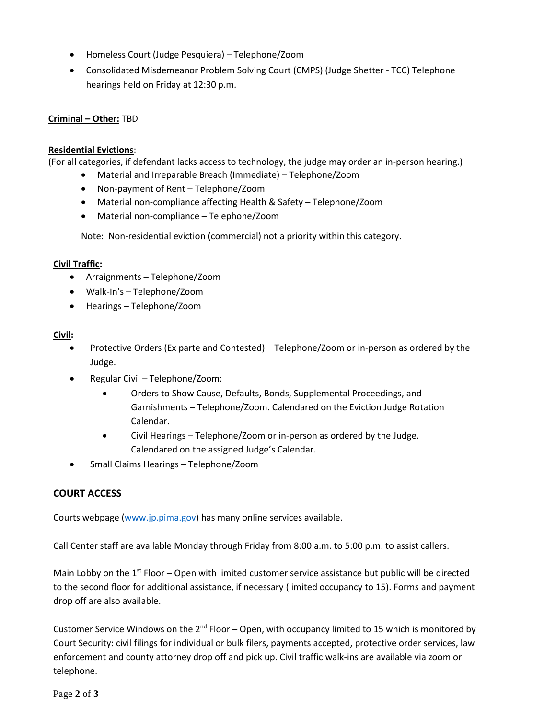- Homeless Court (Judge Pesquiera) Telephone/Zoom
- Consolidated Misdemeanor Problem Solving Court (CMPS) (Judge Shetter TCC) Telephone hearings held on Friday at 12:30 p.m.

## **Criminal – Other:** TBD

## **Residential Evictions**:

(For all categories, if defendant lacks access to technology, the judge may order an in-person hearing.)

- Material and Irreparable Breach (Immediate) Telephone/Zoom
- Non-payment of Rent Telephone/Zoom
- Material non-compliance affecting Health & Safety Telephone/Zoom
- Material non-compliance Telephone/Zoom

Note: Non-residential eviction (commercial) not a priority within this category.

## **Civil Traffic:**

- Arraignments Telephone/Zoom
- Walk-In's Telephone/Zoom
- Hearings Telephone/Zoom

## **Civil:**

- Protective Orders (Ex parte and Contested) Telephone/Zoom or in-person as ordered by the Judge.
- Regular Civil Telephone/Zoom:
	- Orders to Show Cause, Defaults, Bonds, Supplemental Proceedings, and Garnishments – Telephone/Zoom. Calendared on the Eviction Judge Rotation Calendar.
	- Civil Hearings Telephone/Zoom or in-person as ordered by the Judge. Calendared on the assigned Judge's Calendar.
- Small Claims Hearings Telephone/Zoom

# **COURT ACCESS**

Courts webpage [\(www.jp.pima.gov\)](http://www.jp.pima.gov/) has many online services available.

Call Center staff are available Monday through Friday from 8:00 a.m. to 5:00 p.m. to assist callers.

Main Lobby on the  $1<sup>st</sup>$  Floor – Open with limited customer service assistance but public will be directed to the second floor for additional assistance, if necessary (limited occupancy to 15). Forms and payment drop off are also available.

Customer Service Windows on the  $2^{nd}$  Floor – Open, with occupancy limited to 15 which is monitored by Court Security: civil filings for individual or bulk filers, payments accepted, protective order services, law enforcement and county attorney drop off and pick up. Civil traffic walk-ins are available via zoom or telephone.